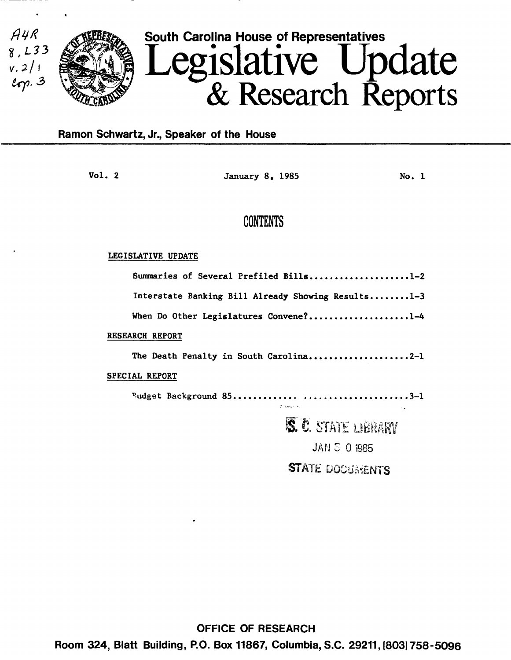

## Ramon Schwartz, Jr., Speaker of the House

Vol. 2 **January 8, 1985** No. 1

## CONTENTS

## LEGISLATIVE UPDATE

| Summaries of Several Prefiled Bills1-2             |
|----------------------------------------------------|
| Interstate Banking Bill Already Showing Results1-3 |
| When Do Other Legislatures Convene?1-4             |
| <b>RESEARCH REPORT</b>                             |
| The Death Penalty in South Carolina2-1             |
| <b>SPECIAL REPORT</b>                              |
| <b>C. Bernard Pa</b>                               |
| S. C. STATE LIBRARY                                |
|                                                    |
| <b>JAN S 0 1985</b>                                |

STATE DOCUMENTS

OFFICE OF RESEARCH Room 324, Blatt Building, P.O. Box 11867, Columbia, S.C. 29211, 1803) 758-5096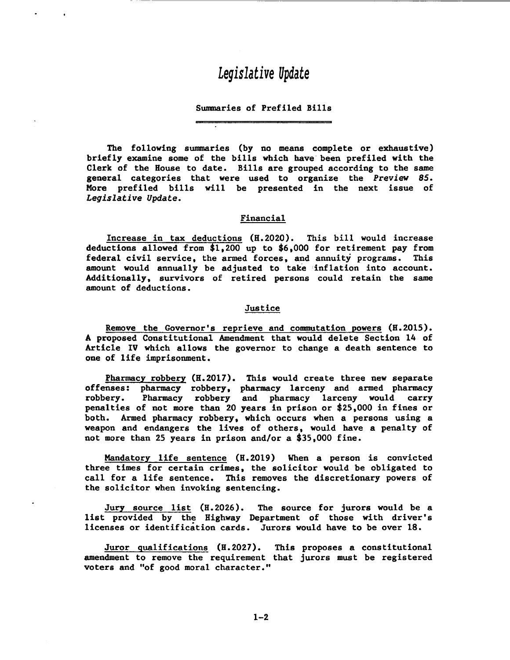# *Legislative Update*

## Summaries of Prefiled Bills

The following summaries (by no means complete or exhaustive) briefly examine some of the bills which have been prefiled with the Clerk of the House to date. Bills are grouped according to the same general categories that were used to organize the *Preview 85.*  More prefiled bills will be presented in the next issue of *Legislative Update.* 

## Financial

Increase in tax deductions (H.2020). This bill would increase deductions allowed from \$1,200 up to \$6,000 for retirement pay from federal civil service, the armed forces, and annuity programs. This amount would annually be adjusted to take 'inflation into account. Additionally, survivors of retired persons could retain the same amount of deductions.

#### Justice

Remove the Governor's reprieve and commutation powers (H.2015). A proposed Constitutional Amendment that would delete Section 14 of Article IV which allows the governor to change a death sentence to one of life imprisonment.

Pharmacy robbery (H.2017). This would create three new separate offenses: pharmacy robbery, pharmacy larceny and armed pharmacy robbery. Pharmacy robbery and pharmacy larceny would carry penalties of not more than 20 years in prison or \$25,000 in fines or both. Armed pharmacy robbery, which occurs when a persons using a weapon and endangers the lives of others, would have a penalty of not more than 25 years in prison and/or a \$35,000 fine.

Mandatory life sentence (H.2019) When a person is convicted three times for certain crimes, the solicitor would be obligated to call for a life sentence. This removes the discretionary powers of the solicitor when invoking sentencing.

Jury source list (H.2026). The source for jurors would be a list provided by the Highway Department of those with driver's licenses or identification cards. Jurors would have to be over 18.

Juror qualifications (H.2027). This proposes a constitutional amendment to remove the requirement that jurors must be registered voters and "of good moral character."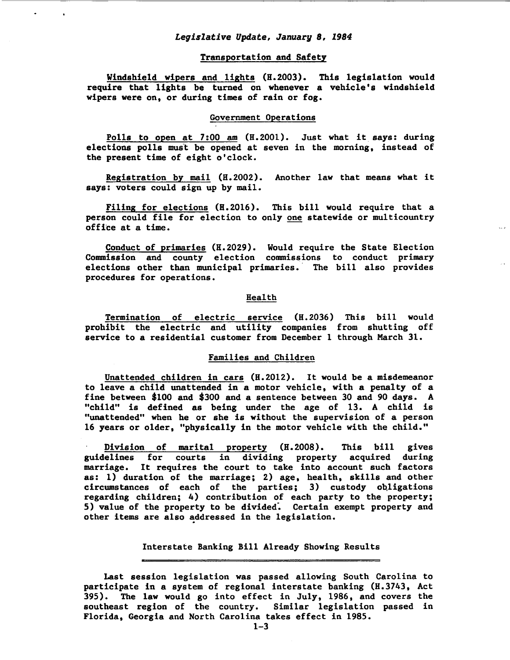### *Legislative Update,* January *8, 1984*

## Transportation and Safety

Windshield wipers and lights (H.2003). This legislation would require that lights be turned on whenever a vehicle's windshield wipers were on, or during times of rain or fog.

#### Government Operations

Polls to open at 7:00 am (H.2001). Just what it says: during elections polls must be opened at seven in the morning, instead of the present time of eight o'clock.

Registration by mail (H. 2002). Another law that means what it says: voters could sign up by mail.

Filing for elections (H.2016). This bill would require that a person could file for election to only one statewide or multicountry office at a time.

Conduct of primaries (H.2029). Would require the State Election Commission and county election commissions to conduct primary elections other than municipal primaries. The bill also provides procedures for operations.

### Health

Termination of electric service (H.2036) This bill would prohibit the electric and utility companies from shutting off service to a residential customer from December 1 through March 31.

## Families and Children

Unattended children in cars (H.2012). It would be a misdemeanor to leave a child unattended in a motor vehicle, with a penalty of a fine between \$100 and \$300 and a sentence between 30 and 90 days. A "child" is defined as being under the age of 13. A child is "unattended" when he or she is without the supervision of a person 16 years or older, "physically in the motor vehicle with the child."

Division of marital property (H.2008). This bill gives guidelines for courts in dividing property acquired during marriage. It requires the court to take into account such factors as: 1) duration of the marriage; 2) age, health, skills and other circumstances of each of the parties; 3) custody ob,ligations regarding children; 4) contribution of each party to the property; 5) value of the property to be divided: Certain exempt property and other items are also addressed in the legislation.

## Interstate Banking Bill Already Showing Results

Last session legislation was passed allowing South Carolina to participate in a system of regional interstate banking (H.3743, Act 395). The law would go into effect in July, 1986, and covers the southeast region of the country. Similar legislation passed in Florida, Georgia and North Carolina takes effect in 1985.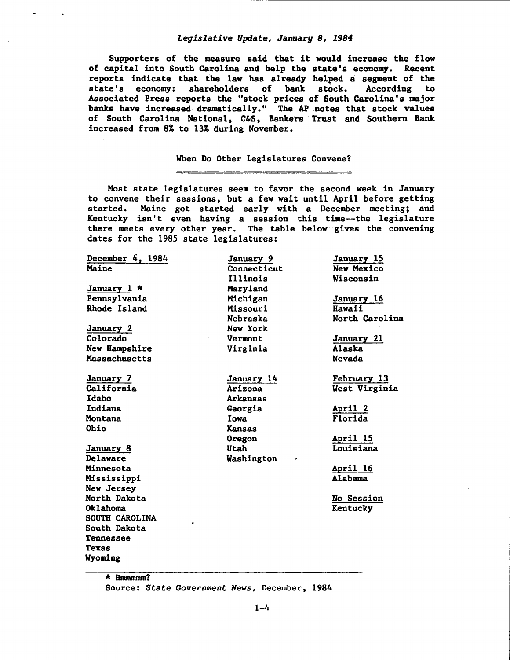## *Legislative Update, January 8, 1984*

Supporters of the measure said that it would increase the flow of capital into South Carolina and help the state's economy. Recent reports indicate that the law has already helped a segment of the state's economy: shareholders of bank stock. According to Associated Press reports the "stock prices of South Carolina's major banks have increased dramatically." The AP notes that stock values of South Carolina National, C&S, Bankers Trust and Southern Bank increased from 8% to 13% during November.

## When Do Other Legislatures Convene?

Most state legislatures seem to favor the second week in January to convene their sessions, but a few wait until April before getting started. Maine got started early with a December meeting; and Kentucky isn't even having a session this time-the legislature there meets every other year. The table below gives· the convening dates for the 1985 state legislatures:

| December $4, 1984$ | January 9   | January 15        |
|--------------------|-------------|-------------------|
| Maine              | Connecticut | New Mexico        |
|                    | Illinois    | Wisconsin         |
| January 1 *        | Maryland    |                   |
| Pennsylvania       | Michigan    | January 16        |
| Rhode Island       | Missouri    | Hawaii            |
|                    | Nebraska    | North Carolina    |
| January 2          | New York    |                   |
| Colorado           | Vermont     | January 21        |
| New Hampshire      | Virginia    | Alaska            |
| Massachusetts      |             | <b>Nevada</b>     |
| January 7          | January 14  | February 13       |
| California         | Arizona     | West Virginia     |
| Idaho              | Arkansas    |                   |
| Indiana            | Georgia     | April 2           |
| Montana            | Iowa        | Florida           |
| <b>Ohio</b>        | Kansas      |                   |
|                    | Oregon      | April 15          |
| January 8          | Utah        | Louisiana         |
| Delaware           | Washington  |                   |
| Minnesota          |             | <u>April 16</u>   |
| Mississippi        |             | Alabama           |
| New Jersey         |             |                   |
| North Dakota       |             | <b>No Session</b> |
| Oklahoma           |             | Kentucky          |
| SOUTH CAROLINA     |             |                   |
| South Dakota       |             |                   |
| Tennessee          |             |                   |
| Texas              |             |                   |
| Wyoming            |             |                   |

\* Hmmmmm? Source: *State Government News,* December, 1984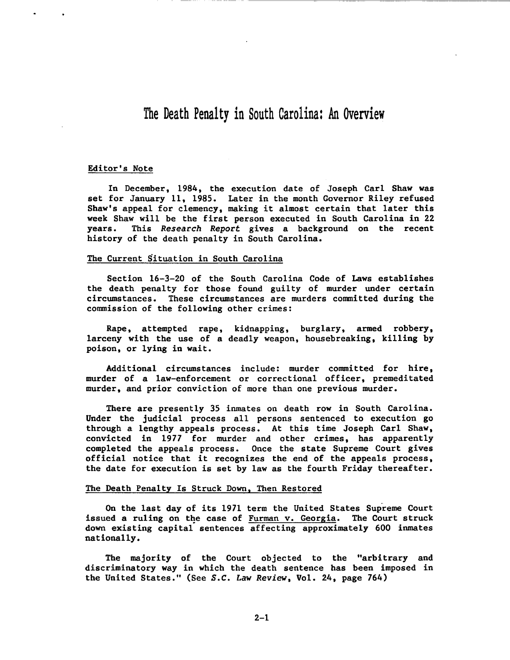## The Death Penalty in South Carolina: An Overview

### Editor's Note

In December, 1984, the execution date of Joseph Carl Shaw was set for January 11, 1985. Later in the month Governor Riley refused Shaw's appeal for clemency, making it almost certain that later this week Shaw will be the first person executed in South Carolina in 22 years. This Research Report gives a background on the recent history of the death penalty in South Carolina.

### The Current Situation in South Carolina

Section 16-3-20 of the South Carolina Code of Laws establishes the death penalty for those found guilty of murder under certain circumstances. These circumstances are murders committed during the commission of the following other crimes:

Rape, attempted rape, kidnapping, burglary, armed robbery, larceny with the use of a deadly weapon, housebreaking, killing by poison, or lying in wait.

Additional circumstances include: murder committed for hire, murder of a law-enforcement or correctional officer, premeditated murder, and prior conviction of more than one previous murder.

There are presently 35 inmates on death row in South Carolina. Under the judicial process all persons sentenced to execution go through a lengthy appeals process. At this time Joseph Carl Shaw, convicted in 1977 for murder and other crimes, has apparently completed the appeals process. Once the state Supreme Court gives official notice that it recognizes the end of the appeals process, the date for execution is set by law as the fourth Friday thereafter.

#### The Death Penalty Is Struck Down, Then Restored

On the last day of its 1971 term the United States Supreme Court issued a ruling on the case of Furman v. Georgia. The Court struck down existing capital sentences affecting approximately 600 inmates nationally.

The majority of the Court objected to the "arbitrary and discriminatory way in which the death sentence has been imposed in the United States." (See S.C. Law Review, Vol. 24, page 764)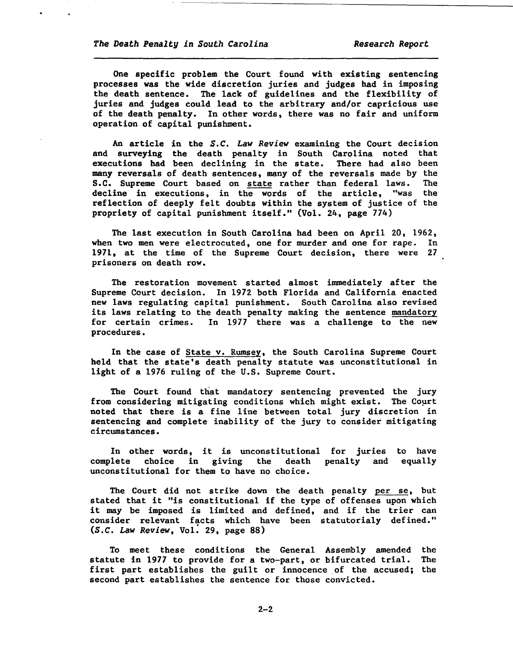One specific problem the Court found with existing sentencing processes was the wide discretion juries and judges had in imposing the death sentence. The lack of guidelines and the flexibility of juries and judges could lead to the arbitrary and/or capricious use of the death penalty. In other words, there was no fair and uniform operation of capital punishment.

An article in the *S.C. Law Review* examining the Court decision and surveying the death penalty in South Carolina noted that executions bad been declining in the state. There had also been many reversals of death sentences, many of the reversals made by the S.C. Supreme Court based on state rather than federal laws. The decline in executions, in the words of the article, "was the reflection of deeply felt doubts within the system of justice of the propriety of capital punishment itself." (Vol. 24, page 774)

The last execution in South Carolina had been on April 20, 1962, when two men were electrocuted, one for murder and one for rape. In 1971, at the time of the Supreme Court decision, there were 27 prisoners on death row.

The restoration movement started almost immediately after the Supreme Court decision. In 1972 both Florida and California enacted new laws regulating capital punishment. South Carolina also revised its laws relating to the death penalty making the sentence mandatory for certain crimes. In 1977 there was a challenge to the new procedures.

In the case of State v. Rumsey, the South Carolina Supreme Court held that the state's death penalty statute was unconstitutional in light of a 1976 ruling of the U.S. Supreme Court.

The Court found that mandatory sentencing prevented the jury from considering mitigating conditions which might exist. The Court noted that there is a fine line between total jury discretion in sentencing and complete inability of the jury to consider mitigating circumstances.

In other words, it is unconstitutional for juries to have complete choice in giving the unconstitutional for them to have no choice. penalty and equally

The Court did not strike down the death penalty per se, but stated that it "is constitutional if the type of offenses upon which it may be imposed is limited and defined, and if the trier can consider relevant facts which have been statutorialy defined." *(S.C.* Law *Review,* Vol: 29, page 88)

To meet these conditions the General Assembly amended the statute in 1977 to provide for a two-part, or bifurcated trial. The first part establishes the guilt or innocence of the accused; the second part establishes the sentence for those convicted.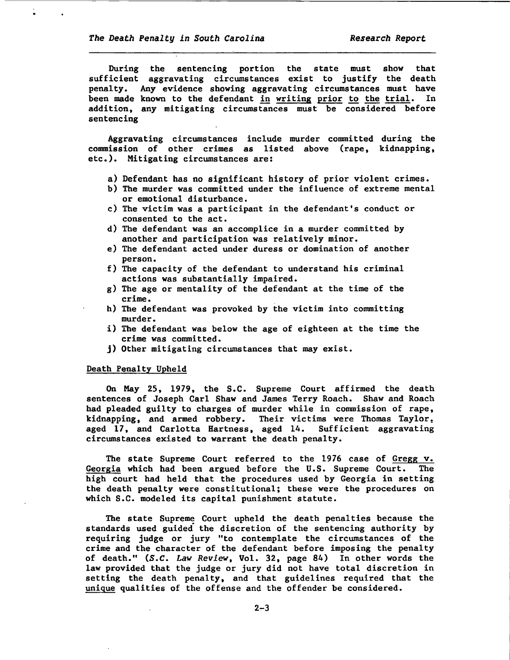During the sentencing portion the state must show that sufficient aggravating circumstances exist to justify the death penalty. Any evidence showing aggravating circumstances must have been made known to the defendant in writing prior to the trial. In addition, any mitigating circumstances must be considered before sentencing

Aggravating circumstances include murder committed during the commission of other crimes as listed above (rape, kidnapping, etc.). Mitigating circumstances are:

- a) Defendant has no significant history of prior violent crimes.
- b) The murder was committed under the influence of extreme mental or emotional disturbance.
- c) The victim was a participant in the defendant's conduct or consented to the act.
- d) The defendant was an accomplice in a murder committed by another and participation was relatively minor.
- e) The defendant acted under duress or domination of another person.
- f) The capacity of the defendant to understand his criminal actions was substantially impaired.
- g) The age or mentality of the defendant at the time of the crime.
- h) The defendant was provoked by the victim into committing murder.
- i) The defendant was below the age of eighteen at the time the crime was committed.
- j) Other mitigating circumstances that may exist.

### Death Penalty Upheld

On May 25, 1979, the S.C. Supreme Court affirmed the death sentences of Joseph Carl Shaw and James Terry Roach. Shaw and Roach had pleaded guilty to charges of murder while in commission of rape, kidnapping, and armed robbery. Their victims were Thomas Taylor, aged 17, and Carlotta Hartness, aged 14. Sufficient aggravating circumstances existed to warrant the death penalty.

The state Supreme Court referred to the 1976 case of Gregg v. Georgia which had been argued before the U.S. Supreme Court. The high court had held that the procedures used by Georgia in setting the death penalty were constitutional; these were the procedures on which S.C. modeled its capital punishment statute.

The state Supreme Court upheld the death penalties because the standards used guided the discretion of the sentencing authority by requiring judge or jury "to contemplate the circumstances of the crime and the character of the defendant before imposing the penalty of death." *(S.C.* Law *Review,* Vol. 32, page 84) In other words the law provided that the judge or jury did not have total discretion in setting the death penalty, and that guidelines required that the unique qualities of the offense and the offender be considered.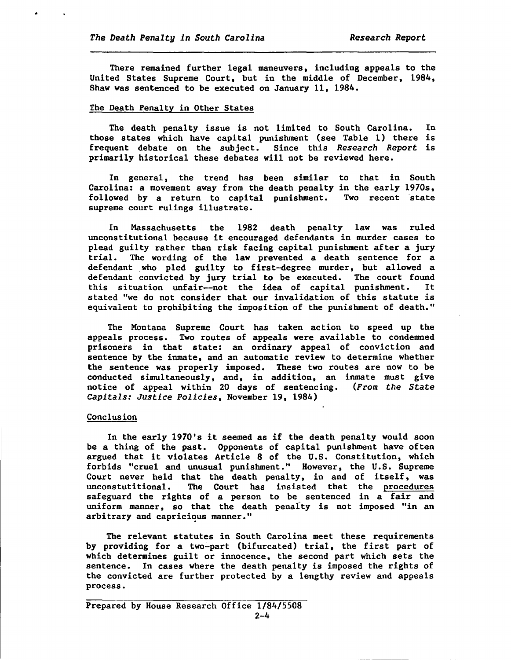..

There remained further legal maneuvers, including appeals to the United States Supreme Court, but in the middle of December, 1984, Shaw was sentenced to be executed on January 11, 1984.

## The Death Penalty in Other States

The death penalty issue is not limited to South Carolina. In those states which have capital punishment (see Table 1) there is frequent debate on the subject. Since this *Research Report* is primarily historical these debates will not be reviewed here.

In general, the trend has been similar to that in South Carolina: a movement away from the death penalty in the early 1970s, followed by a return to capital punishment. Two recent state supreme court rulings illustrate.

In Massachusetts the 1982 death penalty law was ruled unconstitutional because it encouraged defendants in murder cases to plead guilty rather than risk facing capital punishment after a jury trial. The wording of the law prevented a death sentence for a defendant who pled guilty to first-degree murder, but allowed a defendant convicted by jury trial to be executed. The court found this situation unfair--not the idea of capital punishment. It stated "we do not consider that our invalidation of this statute is equivalent to prohibiting the imposition of the punishment of death."

The Montana Supreme Court has taken action to speed up the appeals process. Two routes of appeals were available to condemned prisoners in that state: an ordinary appeal of conviction and sentence by the inmate, and an automatic review to determine whether the sentence was properly imposed. These two routes are now to be conducted simultaneously, and, in addition, an inmate must give notice of appeal within 20 days of sentencing. *(From the State Capitals: Justice Policies,* November 19, 1984)

## Conclusion

In the early 1970's it seemed as if the death penalty would soon be a thing of the past. Opponents of capital punishment have often argued that it violates Article 8 of the U.S. Constitution, which forbids "cruel and unusual punishment." However, the U.S. Supreme Court never held that the death penalty, in and of itself, was unconstutitional. The Court has insisted that the procedures safeguard the rights of a person to be sentenced in a fair and uniform manner, so that the death penalty is not imposed "in an arbitrary and capricious manner."

The relevant statutes in South Carolina meet these requirements by providing for a two-part (bifurcated) trial, the first part of which determines guilt or innocence, the second part which sets the sentence. In cases where the death penalty is imposed the rights of the convicted are further protected by a lengthy review and appeals process.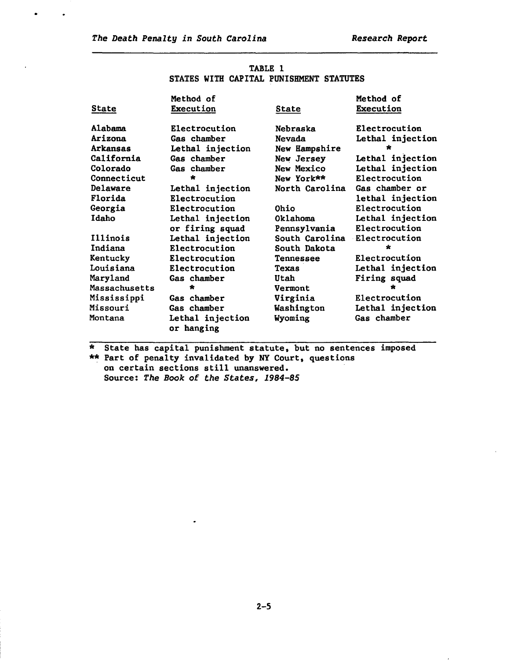$\bullet$ 

 $\ddot{\phantom{0}}$ 

 $\mathcal{A}$ 

| TABLE 1 |  |  |                                         |  |
|---------|--|--|-----------------------------------------|--|
|         |  |  | STATES WITH CAPITAL PUNISHMENT STATUTES |  |

|                 | Method of                      |                  | Method of        |
|-----------------|--------------------------------|------------------|------------------|
| State           | Execution                      | State            | Execution        |
| Alabama         | Electrocution                  | Nebraska         | Electrocution    |
| Arizona         | Gas chamber                    | Nevada           | Lethal injection |
| Arkansas        | Lethal injection               | New Hampshire    | $\star$          |
| California      | Gas chamber                    | New Jersey       | Lethal injection |
| Colorado        | Gas chamber                    | New Mexico       | Lethal injection |
| Connecticut     | $\star$                        | New York**       | Electrocution    |
| Delaware        | Lethal injection               | North Carolina   | Gas chamber or   |
| Florida         | Electrocution                  |                  | lethal injection |
| Georgia         | Electrocution                  | <b>Ohio</b>      | Electrocution    |
| Idaho           | Lethal injection               | Oklahoma         | Lethal injection |
|                 | or firing squad                | Pennsylvania     | Electrocution    |
| Illinois        | Lethal injection               | South Carolina   | Electrocution    |
| Indiana         | Electrocution                  | South Dakota     | ÷                |
| Kentucky        | Electrocution                  | <b>Tennessee</b> | Electrocution    |
| Louisiana       | Electrocution                  | Texas            | Lethal injection |
| Maryland        | Gas chamber                    | Utah             | Firing squad     |
| Massachusetts   | ∗                              | Vermont          | ÷                |
| Mississippi     | Gas chamber                    | Virginia         | Electrocution    |
| <b>Missouri</b> | Gas chamber                    | Washington       | Lethal injection |
| Montana         | Lethal injection<br>or hanging | Wyoming          | Gas chamber      |

\* State has capital punishment statute, but no sentences imposed \*\* Part of penalty invalidated by NY Court, questions on certain sections still unanswered. Source: *The Book of the States, 1984-85* 

 $\bullet$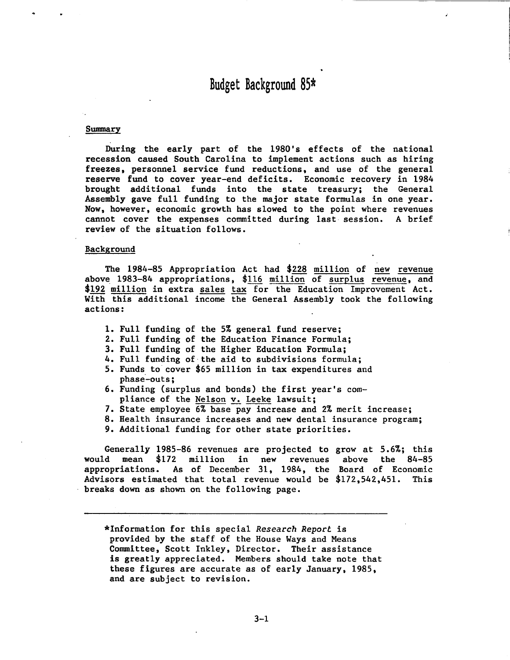# Budget Background 85\*

#### Swmnary

During the early part of the 1980's effects of the national recession caused South Carolina to implement actions such as hiring freezes, personnel service fund reductions, and use of the general reserve fund to cover year-end deficits. Economic recovery in 1984 brought additional funds into the state treasury; the General Assembly gave full funding to the major state formulas in one year. Now, however, economic growth has slowed to the point where revenues cannot cover the expenses committed during last session. A brief review of the situation follows.

#### Background

The 1984-85 Appropriation Act had \$228 million of new revenue above 1983-84 appropriations,  $$116$  million of surplus revenue, and \$192 million in extra sales tax for the Education Improvement Act. With this additional income the General Assembly took the following actions:

- 1. Full funding of the 5% general fund reserve;
- 2. Full funding of the Education Finance Formula;
- 3. Full funding of the Higher Education Formula;
- 4. Full funding of the aid to subdivisions formula;
- 5. Funds to cover \$65 million in tax expenditures and phase-outs;
- 6. Funding (surplus and bonds) the first year's compliance of the Nelson v. Leeke lawsuit;
- 7. State employee 6% base pay increase and 2% merit increase;
- 8. Health insurance increases and new dental insurance program;
- 9. Additional funding for other state priorities.

Generally 1985-86 revenues are projected to grow at 5.6%; this would mean \$172 million in new revenues appropriations. As of December 31, 1984, the Board of Economic Advisors estimated that total revenue would be \$172,542,451. This breaks down as shown on the following page. above the 84-85

\*Information for this special *Research Report* is provided by the staff of the House Ways and Means Committee, Scott Inkley, Director. Their assistance is greatly appreciated. Members should take note that these figures are accurate as of early January, 1985, and are subject to revision.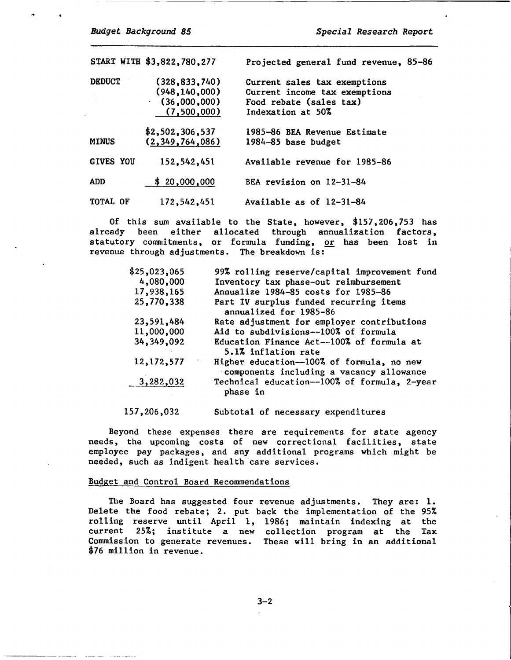...

START WITH \$3,822,780,277 Projected general fund revenue, 85-86 DEDUCT (328,833,740) (948,140,000) (36,000,000)  $(7,500,000)$ \$2,502,306,537 MINUS (2,349,764,086) Current sales tax exemptions Current income tax exemptions Food rebate (sales tax) Indexation at SO% 1985-86 BEA Revenue Estimate 1984-85 base budget GIVES YOU 152,542,451 Available revenue for 1985-86 ADD \$ 20,000,000 BEA revision on 12-31-84 TOTAL OF 172,542,451 Available as of 12-31-84

Of this sum available to the State, however, \$157,206,753 has already been either allocated through annualization factors, statutory commitments, or formula funding, or has been lost in revenue through adjustments. The breakdown is:

| \$25,023,065 | 99% rolling reserve/capital improvement fund                                          |
|--------------|---------------------------------------------------------------------------------------|
| 4,080,000    | Inventory tax phase-out reimbursement                                                 |
| 17,938,165   | Annualize 1984-85 costs for 1985-86                                                   |
| 25,770,338   | Part IV surplus funded recurring items<br>annualized for 1985-86                      |
| 23,591,484   | Rate adjustment for employer contributions                                            |
| 11,000,000   | Aid to subdivisions--100% of formula                                                  |
| 34,349,092   | Education Finance Act--100% of formula at<br>5.1% inflation rate                      |
| 12,172,577   | Higher education--100% of formula, no new<br>components including a vacancy allowance |
| 3,282,032    | Technical education--100% of formula, 2-year<br>phase in                              |
|              |                                                                                       |

157,206,032 Subtotal of necessary expenditures

Beyond these expenses there are requirements for state agency needs, the upcoming costs of new correctional facilities, state employee pay packages, and any additional programs which might be needed, such as indigent health care services.

#### Budget and Control Board Recommendations

The Board has suggested four revenue adjustments. They are: 1. Delete the food rebate; 2. put back the implementation of the 95% rolling reserve until April 1, 1986; maintain indexing at the current 25%; institute a new collection program at the Tax Commission to generate revenues. These will bring in an additional \$76 million in revenue.